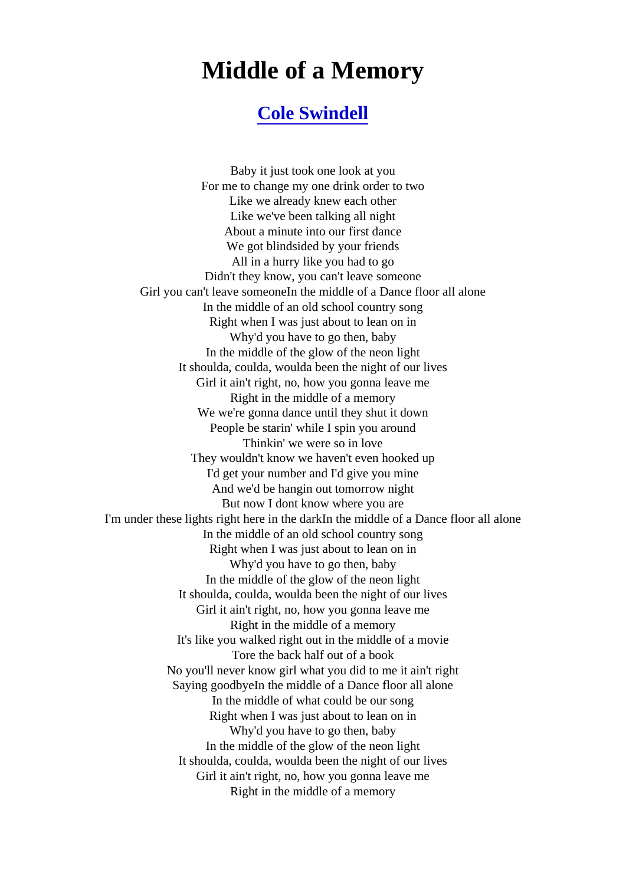## Middle of a Memory

## [Cole Swindell](http://www.1songlyrics.com/search.html?q=Cole+Swindell)

Baby it just took one look at you For me to change my one drink order to two Like we already knew each other Like we've been talking all night About a minute into our first dance We got blindsided by your friends All in a hurry like you had to go Didn't they know, you can't leave someone Girl you can't leave someoneIn the middle of a Dance floor all alone In the middle of an old school country song Right when I was just about to lean on in Why'd you have to go then, baby In the middle of the glow of the neon light It shoulda, coulda, woulda been the night of our lives Girl it ain't right, no, how you gonna leave me Right in the middle of a memory We we're gonna dance until they shut it down People be starin' while I spin you around Thinkin' we were so in love They wouldn't know we haven't even hooked up I'd get your number and I'd give you mine And we'd be hangin out tomorrow night But now I dont know where you are I'm under these lights right here in the darkIn the middle of a Dance floor all alone In the middle of an old school country song Right when I was just about to lean on in Why'd you have to go then, baby In the middle of the glow of the neon light It shoulda, coulda, woulda been the night of our lives Girl it ain't right, no, how you gonna leave me Right in the middle of a memory It's like you walked right out in the middle of a movie Tore the back half out of a book No you'll never know girl what you did to me it ain't right Saying goodbyeIn the middle of a Dance floor all alone In the middle of what could be our song Right when I was just about to lean on in Why'd you have to go then, baby In the middle of the glow of the neon light It shoulda, coulda, woulda been the night of our lives Girl it ain't right, no, how you gonna leave me Right in the middle of a memory